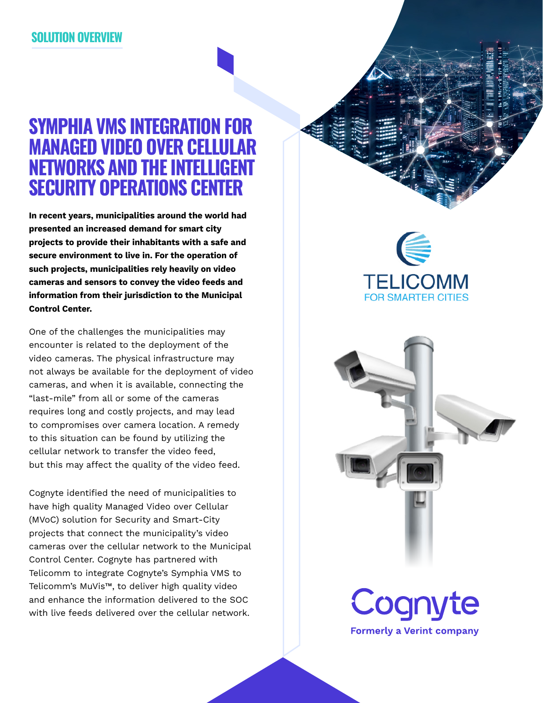### **SOLUTION OVERVIEW**

## **SYMPHIA VMS INTEGRATION FOR MANAGED VIDEO OVER CELLULAR NETWORKS AND THE INTELLIGENT SECURITY OPERATIONS CENTER**

**In recent years, municipalities around the world had presented an increased demand for smart city projects to provide their inhabitants with a safe and secure environment to live in. For the operation of such projects, municipalities rely heavily on video cameras and sensors to convey the video feeds and information from their jurisdiction to the Municipal Control Center.** 

One of the challenges the municipalities may encounter is related to the deployment of the video cameras. The physical infrastructure may not always be available for the deployment of video cameras, and when it is available, connecting the "last-mile" from all or some of the cameras requires long and costly projects, and may lead to compromises over camera location. A remedy to this situation can be found by utilizing the cellular network to transfer the video feed, but this may affect the quality of the video feed.

Cognyte identified the need of municipalities to have high quality Managed Video over Cellular (MVoC) solution for Security and Smart-City projects that connect the municipality's video cameras over the cellular network to the Municipal Control Center. Cognyte has partnered with Telicomm to integrate Cognyte's Symphia VMS to Telicomm's MuVis™, to deliver high quality video and enhance the information delivered to the SOC with live feeds delivered over the cellular network.

**TELICOMM FOR SMARTER CITIES**